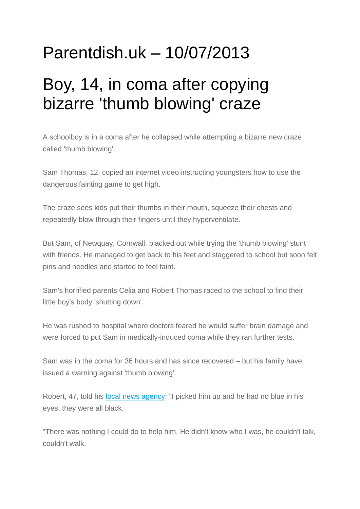## Parentdish.uk – 10/07/2013

## Boy, 14, in coma after copying bizarre 'thumb blowing' craze

A schoolboy is in a coma after he collapsed while attempting a bizarre new craze called 'thumb blowing'.

Sam Thomas, 12, copied an internet video instructing youngsters how to use the dangerous fainting game to get high.

The craze sees kids put their thumbs in their mouth, squeeze their chests and repeatedly blow through their fingers until they hyperventilate.

But Sam, of Newquay, Cornwall, blacked out while trying the 'thumb blowing' stunt with friends. He managed to get back to his feet and staggered to school but soon felt pins and needles and started to feel faint.

Sam's horrified parents Celia and Robert Thomas raced to the school to find their little boy's body 'shutting down'.

He was rushed to hospital where doctors feared he would suffer brain damage and were forced to put Sam in medically-induced coma while they ran further tests.

Sam was in the coma for 36 hours and has since recovered – but his family have issued a warning against 'thumb blowing'.

Robert, 47, told his local [news agency:](http://swns.com/news/schoolboy-ends-coma-playground-fainting-craze-called-thumb-blowing-37588/) "I picked him up and he had no blue in his eyes, they were all black.

"There was nothing I could do to help him. He didn't know who I was, he couldn't talk, couldn't walk.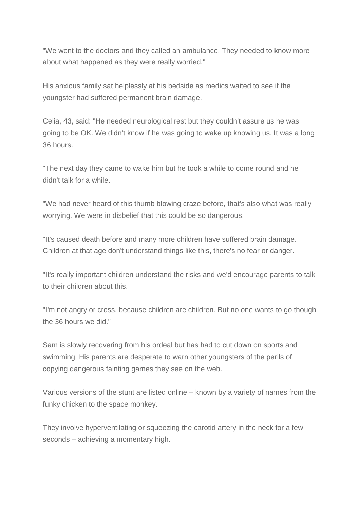"We went to the doctors and they called an ambulance. They needed to know more about what happened as they were really worried."

His anxious family sat helplessly at his bedside as medics waited to see if the youngster had suffered permanent brain damage.

Celia, 43, said: "He needed neurological rest but they couldn't assure us he was going to be OK. We didn't know if he was going to wake up knowing us. It was a long 36 hours.

"The next day they came to wake him but he took a while to come round and he didn't talk for a while.

"We had never heard of this thumb blowing craze before, that's also what was really worrying. We were in disbelief that this could be so dangerous.

"It's caused death before and many more children have suffered brain damage. Children at that age don't understand things like this, there's no fear or danger.

"It's really important children understand the risks and we'd encourage parents to talk to their children about this.

"I'm not angry or cross, because children are children. But no one wants to go though the 36 hours we did."

Sam is slowly recovering from his ordeal but has had to cut down on sports and swimming. His parents are desperate to warn other youngsters of the perils of copying dangerous fainting games they see on the web.

Various versions of the stunt are listed online – known by a variety of names from the funky chicken to the space monkey.

They involve hyperventilating or squeezing the carotid artery in the neck for a few seconds – achieving a momentary high.